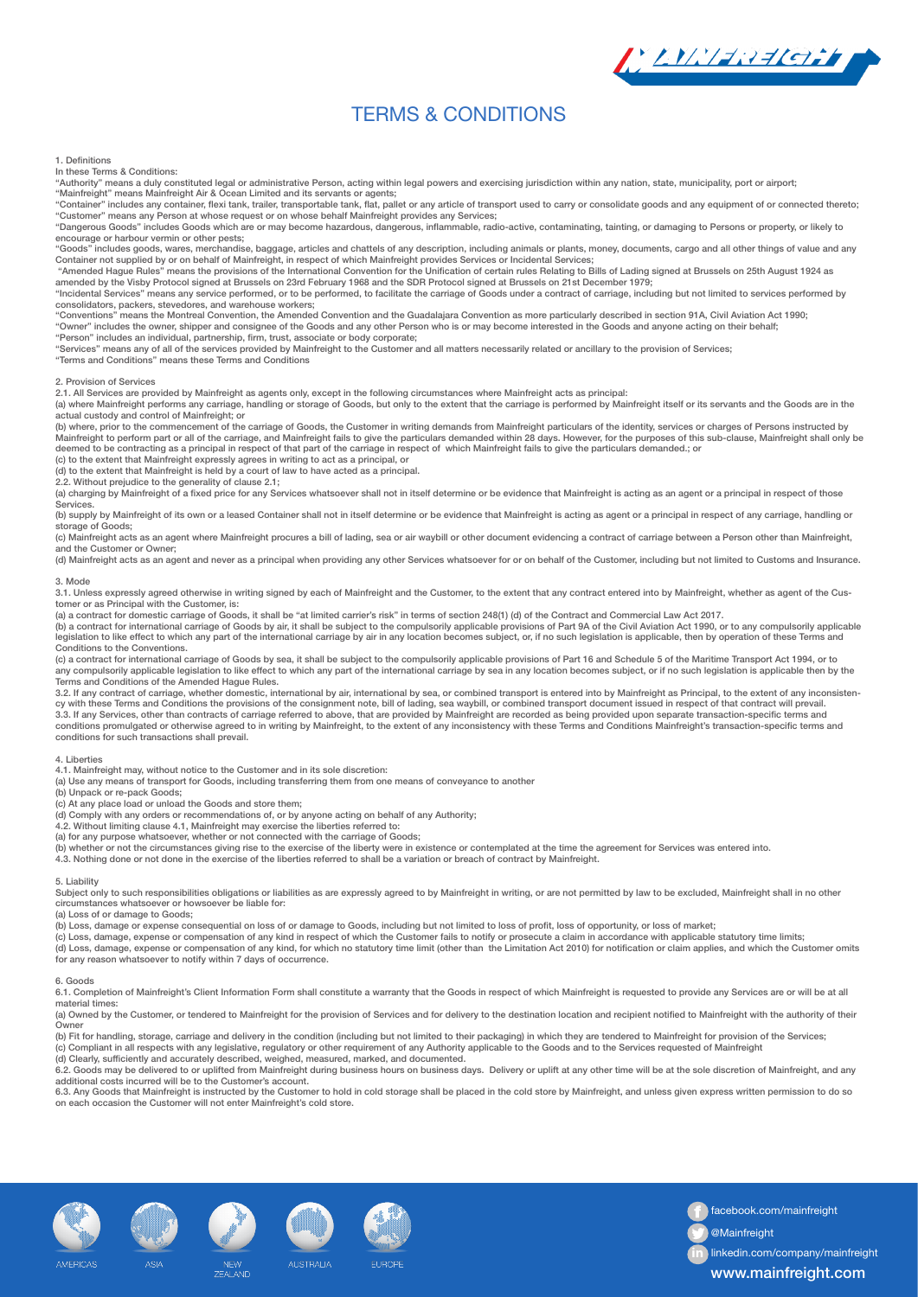# TERMS & CONDITIONS

## 1. Definitions

In these Terms & Conditions:

"Authority" means a duly constituted legal or administrative Person, acting within legal powers and exercising jurisdiction within any nation, state, municipality, port or airport; "Mainfreight" means Mainfreight Air & Ocean Limited and its servants or agents;

"Container" includes any container, flexi tank, trailer, transportable tank, flat, pallet or any article of transport used to carry or consolidate goods and any equipment of or connected thereto; "Customer" means any Person at whose request or on whose behalf Mainfreight provides any Services;

"Dangerous Goods" includes Goods which are or may become hazardous, dangerous, inflammable, radio-active, contaminating, tainting, or damaging to Persons or property, or likely to encourage or harbour vermin or other pests;

"Goods" includes goods, wares, merchandise, baggage, articles and chattels of any description, including animals or plants, money, documents, cargo and all other things of value and any<br>Container not supplied by or on beha

"Amended Hague Rules" means the provisions of the International Convention for the Unification of certain rules Relating to Bills of Lading signed at Brussels on 25th August 1924 as<br>amended by the Visby Protocol signed at "Incidental Services" means any service performed, or to be performed, to facilitate the carriage of Goods under a contract of carriage, including but not limited to services performed by

consolidators, packers, stevedores, and warehouse workers;<br>"Conventions" means the Montreal Convention, the Amended Convention and the Guadalajara Convention as more particularly described in section 91A, Civil Aviation Ac

"Owner" includes the owner, shipper and consignee of the Goods and any other Person who is or may become interested in the Goods and anyone acting on their behalf;<br>"Person" includes an individual, partnership, firm, trust,

"Services" means any of all of the services provided by Mainfreight to the Customer and all matters necessarily related or ancillary to the provision of Services;

"Terms and Conditions" means these Terms and Conditions

#### 2. Provision of Services

2.1. All Services are provided by Mainfreight as agents only, except in the following circumstances where Mainfreight acts as principal:

(a) where Mainfreight performs any carriage, handling or storage of Goods, but only to the extent that the carriage is performed by Mainfreight itself or its servants and the Goods are in the actual custody and control of Mainfreight; or

(b) where, prior to the commencement of the carriage of Goods, the Customer in writing demands from Mainfreight particulars of the identity, services or charges of Persons instructed by<br>Mainfreight to perform part or all o deemed to be contracting as a principal in respect of that part of the carriage in respect of which Mainfreight fails to give the particulars demanded.; or

(c) to the extent that Mainfreight expressly agrees in writing to act as a principal, or

(d) to the extent that Mainfreight is held by a court of law to have acted as a principal. 2.2. Without prejudice to the generality of clause 2.1;

(a) charging by Mainfreight of a fixed price for any Services whatsoever shall not in itself determine or be evidence that Mainfreight is acting as an agent or a principal in respect of those **Services** 

(b) supply by Mainfreight of its own or a leased Container shall not in itself determine or be evidence that Mainfreight is acting as agent or a principal in respect of any carriage, handling or storage of Goods;

(c) Mainfreight acts as an agent where Mainfreight procures a bill of lading, sea or air waybill or other document evidencing a contract of carriage between a Person other than Mainfreight, and the Customer or Owner;

(d) Mainfreight acts as an agent and never as a principal when providing any other Services whatsoever for or on behalf of the Customer, including but not limited to Customs and Insurance.

## 3. Mode

3.1. Unless expressly agreed otherwise in writing signed by each of Mainfreight and the Customer, to the extent that any contract entered into by Mainfreight, whether as agent of the Customer or as Principal with the Customer, is:

(a) a contract for domestic carriage of Goods, it shall be "at limited carrier's risk" in terms of section 248(1) (d) of the Contract and Commercial Law Act 2017.

(b) a contract for international carriage of Goods by air, it shall be subject to the compulsorily applicable provisions of Part 9A of the Civil Aviation Act 1990, or to any compulsorily applicable legislation to like effect to which any part of the international carriage by air in any location becomes subject, or, if no such legislation is applicable, then by operation of these Terms and Conditions to the Conventions.

(c) a contract for international carriage of Goods by sea, it shall be subject to the compulsorily applicable provisions of Part 16 and Schedule 5 of the Maritime Transport Act 1994, or to<br>any compulsorily applicable legis Terms and Conditions of the Amended Hague Rules.

3.2. If any contract of carriage, whether domestic, international by air, international by sea, or combined transport is entered into by Mainfreight as Principal, to the extent of any inconsisten-<br>cy with these Terms and C 3.3. If any Services, other than contracts of carriage referred to above, that are provided by Mainfreight are recorded as being provided upon separate transaction-specific terms and<br>conditions promulgated or otherwise agr conditions for such transactions shall prevail.

#### 4. Liberties

4.1. Mainfreight may, without notice to the Customer and in its sole discretion:

(a) Use any means of transport for Goods, including transferring them from one means of conveyance to another

(b) Unpack or re-pack Goods;

(c) At any place load or unload the Goods and store them;

(d) Comply with any orders or recommendations of, or by anyone acting on behalf of any Authority; 4.2. Without limiting clause 4.1, Mainfreight may exercise the liberties referred to:

(a) for any purpose whatsoever, whether or not connected with the carriage of Goods;<br>(b) whether or not the circumstances giving rise to the exercise of the liberty were in existence or contemplated at the time the agreeme

4.3. Nothing done or not done in the exercise of the liberties referred to shall be a variation or breach of contract by Mainfreight.

## 5. Liability

Subject only to such responsibilities obligations or liabilities as are expressly agreed to by Mainfreight in writing, or are not permitted by law to be excluded, Mainfreight shall in no other<br>circumstances whatsoever or h

(a) Loss of or damage to Goods;

(b) Loss, damage or expense consequential on loss of or damage to Goods, including but not limited to loss of profit, loss of opportunity, or loss of market;

(c) Loss, damage, expense or compensation of any kind in respect of which the Customer fails to notify or prosecute a claim in accordance with applicable statutory time limits; (d) Loss, damage, expense or compensation of any kind, for which no statutory time limit (other than the Limitation Act 2010) for notification or claim applies, and which the Customer omits for any reason whatsoever to notify within 7 days of occurrence.

## 6. Goods

6.1. Completion of Mainfreight's Client Information Form shall constitute a warranty that the Goods in respect of which Mainfreight is requested to provide any Services are or will be at all material times:

(a) Owned by the Customer, or tendered to Mainfreight for the provision of Services and for delivery to the destination location and recipient notified to Mainfreight with the authority of their Owner

(b) Fit for handling, storage, carriage and delivery in the condition (including but not limited to their packaging) in which they are tendered to Mainfreight for provision of the Services; (c) Compliant in all respects with any legislative, regulatory or other requirement of any Authority applicable to the Goods and to the Services requested of Mainfreight<br>(d) Clearly, sufficiently and accurately described,

6.2. Goods may be delivered to or uplifted from Mainfreight during business hours on business days. Delivery or uplift at any other time will be at the sole discretion of Mainfreight, and any additional costs incurred will be to the Customer's account.

6.3. Any Goods that Mainfreight is instructed by the Customer to hold in cold storage shall be placed in the cold store by Mainfreight, and unless given express written permission to do so<br>on each occasion the Customer wil









ALISTRALIZ



facebook.com/mainfreight

LYNI-REGIL

@Mainfreight

**in** linkedin.com/company/mainfreight

www.mainfreight.com